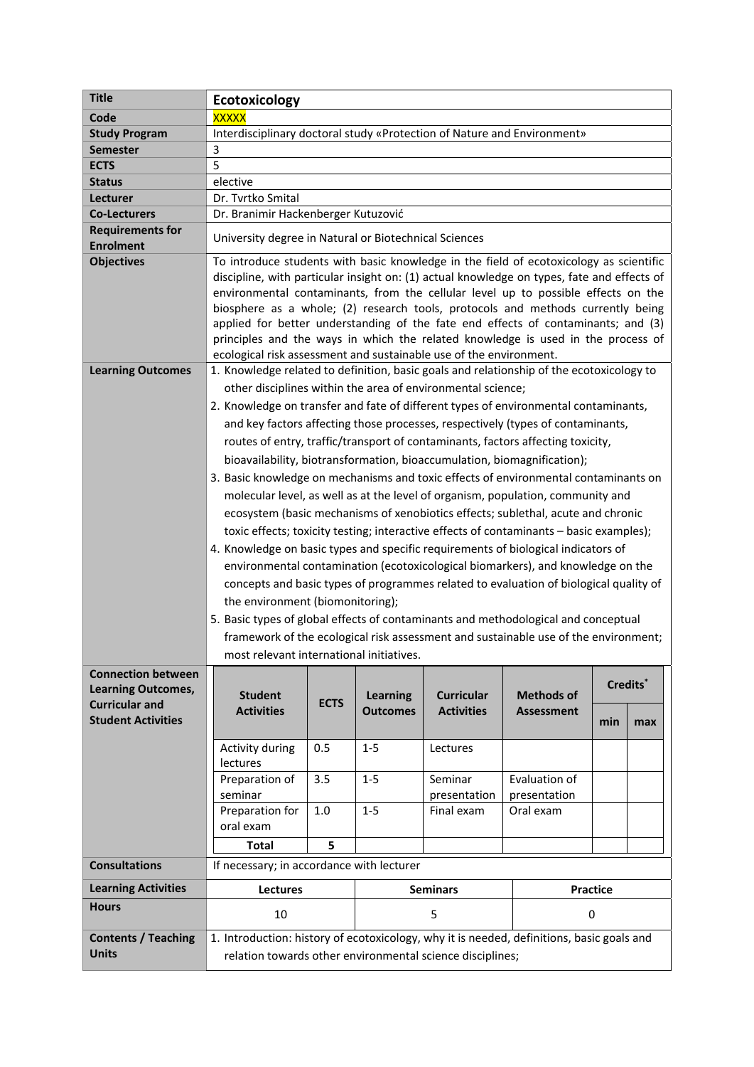| <b>Title</b>                                           | Ecotoxicology                                                                                                                                                                                                                                                                                                                                                                                                                                                                                                                                                                                                                                                                                                                                                                                                                                                                                                                                                                                                                                                                                                                                                                                                                                                                                                                              |             |                 |                                                                                                |                   |          |     |  |
|--------------------------------------------------------|--------------------------------------------------------------------------------------------------------------------------------------------------------------------------------------------------------------------------------------------------------------------------------------------------------------------------------------------------------------------------------------------------------------------------------------------------------------------------------------------------------------------------------------------------------------------------------------------------------------------------------------------------------------------------------------------------------------------------------------------------------------------------------------------------------------------------------------------------------------------------------------------------------------------------------------------------------------------------------------------------------------------------------------------------------------------------------------------------------------------------------------------------------------------------------------------------------------------------------------------------------------------------------------------------------------------------------------------|-------------|-----------------|------------------------------------------------------------------------------------------------|-------------------|----------|-----|--|
| Code                                                   | <b>XXXXX</b>                                                                                                                                                                                                                                                                                                                                                                                                                                                                                                                                                                                                                                                                                                                                                                                                                                                                                                                                                                                                                                                                                                                                                                                                                                                                                                                               |             |                 |                                                                                                |                   |          |     |  |
| <b>Study Program</b>                                   | Interdisciplinary doctoral study «Protection of Nature and Environment»                                                                                                                                                                                                                                                                                                                                                                                                                                                                                                                                                                                                                                                                                                                                                                                                                                                                                                                                                                                                                                                                                                                                                                                                                                                                    |             |                 |                                                                                                |                   |          |     |  |
| <b>Semester</b>                                        | 3                                                                                                                                                                                                                                                                                                                                                                                                                                                                                                                                                                                                                                                                                                                                                                                                                                                                                                                                                                                                                                                                                                                                                                                                                                                                                                                                          |             |                 |                                                                                                |                   |          |     |  |
| <b>ECTS</b>                                            | 5                                                                                                                                                                                                                                                                                                                                                                                                                                                                                                                                                                                                                                                                                                                                                                                                                                                                                                                                                                                                                                                                                                                                                                                                                                                                                                                                          |             |                 |                                                                                                |                   |          |     |  |
| <b>Status</b>                                          | elective                                                                                                                                                                                                                                                                                                                                                                                                                                                                                                                                                                                                                                                                                                                                                                                                                                                                                                                                                                                                                                                                                                                                                                                                                                                                                                                                   |             |                 |                                                                                                |                   |          |     |  |
| Lecturer                                               | Dr. Tvrtko Smital                                                                                                                                                                                                                                                                                                                                                                                                                                                                                                                                                                                                                                                                                                                                                                                                                                                                                                                                                                                                                                                                                                                                                                                                                                                                                                                          |             |                 |                                                                                                |                   |          |     |  |
| <b>Co-Lecturers</b>                                    | Dr. Branimir Hackenberger Kutuzović                                                                                                                                                                                                                                                                                                                                                                                                                                                                                                                                                                                                                                                                                                                                                                                                                                                                                                                                                                                                                                                                                                                                                                                                                                                                                                        |             |                 |                                                                                                |                   |          |     |  |
| <b>Requirements for</b><br><b>Enrolment</b>            | University degree in Natural or Biotechnical Sciences                                                                                                                                                                                                                                                                                                                                                                                                                                                                                                                                                                                                                                                                                                                                                                                                                                                                                                                                                                                                                                                                                                                                                                                                                                                                                      |             |                 |                                                                                                |                   |          |     |  |
| <b>Objectives</b>                                      | To introduce students with basic knowledge in the field of ecotoxicology as scientific<br>discipline, with particular insight on: (1) actual knowledge on types, fate and effects of<br>environmental contaminants, from the cellular level up to possible effects on the<br>biosphere as a whole; (2) research tools, protocols and methods currently being<br>applied for better understanding of the fate end effects of contaminants; and (3)<br>principles and the ways in which the related knowledge is used in the process of<br>ecological risk assessment and sustainable use of the environment.                                                                                                                                                                                                                                                                                                                                                                                                                                                                                                                                                                                                                                                                                                                                |             |                 |                                                                                                |                   |          |     |  |
| <b>Learning Outcomes</b>                               | 1. Knowledge related to definition, basic goals and relationship of the ecotoxicology to<br>other disciplines within the area of environmental science;<br>2. Knowledge on transfer and fate of different types of environmental contaminants,<br>and key factors affecting those processes, respectively (types of contaminants,<br>routes of entry, traffic/transport of contaminants, factors affecting toxicity,<br>bioavailability, biotransformation, bioaccumulation, biomagnification);<br>3. Basic knowledge on mechanisms and toxic effects of environmental contaminants on<br>molecular level, as well as at the level of organism, population, community and<br>ecosystem (basic mechanisms of xenobiotics effects; sublethal, acute and chronic<br>toxic effects; toxicity testing; interactive effects of contaminants - basic examples);<br>4. Knowledge on basic types and specific requirements of biological indicators of<br>environmental contamination (ecotoxicological biomarkers), and knowledge on the<br>concepts and basic types of programmes related to evaluation of biological quality of<br>the environment (biomonitoring);<br>5. Basic types of global effects of contaminants and methodological and conceptual<br>framework of the ecological risk assessment and sustainable use of the environment; |             |                 |                                                                                                |                   |          |     |  |
| <b>Connection between</b><br><b>Learning Outcomes,</b> | <b>Student</b>                                                                                                                                                                                                                                                                                                                                                                                                                                                                                                                                                                                                                                                                                                                                                                                                                                                                                                                                                                                                                                                                                                                                                                                                                                                                                                                             |             | <b>Learning</b> | most relevant international initiatives.<br>Credits*<br><b>Curricular</b><br><b>Methods of</b> |                   |          |     |  |
| <b>Curricular and</b><br><b>Student Activities</b>     | <b>Activities</b>                                                                                                                                                                                                                                                                                                                                                                                                                                                                                                                                                                                                                                                                                                                                                                                                                                                                                                                                                                                                                                                                                                                                                                                                                                                                                                                          | <b>ECTS</b> | <b>Outcomes</b> | <b>Activities</b>                                                                              | <b>Assessment</b> | min      | max |  |
|                                                        | Activity during                                                                                                                                                                                                                                                                                                                                                                                                                                                                                                                                                                                                                                                                                                                                                                                                                                                                                                                                                                                                                                                                                                                                                                                                                                                                                                                            | 0.5         | $1 - 5$         | Lectures                                                                                       |                   |          |     |  |
|                                                        | lectures                                                                                                                                                                                                                                                                                                                                                                                                                                                                                                                                                                                                                                                                                                                                                                                                                                                                                                                                                                                                                                                                                                                                                                                                                                                                                                                                   |             |                 |                                                                                                |                   |          |     |  |
|                                                        | Preparation of                                                                                                                                                                                                                                                                                                                                                                                                                                                                                                                                                                                                                                                                                                                                                                                                                                                                                                                                                                                                                                                                                                                                                                                                                                                                                                                             | 3.5         | $1-5$           | Seminar                                                                                        | Evaluation of     |          |     |  |
|                                                        | seminar                                                                                                                                                                                                                                                                                                                                                                                                                                                                                                                                                                                                                                                                                                                                                                                                                                                                                                                                                                                                                                                                                                                                                                                                                                                                                                                                    |             |                 | presentation                                                                                   | presentation      |          |     |  |
|                                                        | Preparation for                                                                                                                                                                                                                                                                                                                                                                                                                                                                                                                                                                                                                                                                                                                                                                                                                                                                                                                                                                                                                                                                                                                                                                                                                                                                                                                            | $1.0$       | $1-5$           | Final exam                                                                                     | Oral exam         |          |     |  |
|                                                        | oral exam                                                                                                                                                                                                                                                                                                                                                                                                                                                                                                                                                                                                                                                                                                                                                                                                                                                                                                                                                                                                                                                                                                                                                                                                                                                                                                                                  |             |                 |                                                                                                |                   |          |     |  |
|                                                        | <b>Total</b>                                                                                                                                                                                                                                                                                                                                                                                                                                                                                                                                                                                                                                                                                                                                                                                                                                                                                                                                                                                                                                                                                                                                                                                                                                                                                                                               | 5           |                 |                                                                                                |                   |          |     |  |
| <b>Consultations</b>                                   | If necessary; in accordance with lecturer                                                                                                                                                                                                                                                                                                                                                                                                                                                                                                                                                                                                                                                                                                                                                                                                                                                                                                                                                                                                                                                                                                                                                                                                                                                                                                  |             |                 |                                                                                                |                   |          |     |  |
| <b>Learning Activities</b>                             | <b>Lectures</b>                                                                                                                                                                                                                                                                                                                                                                                                                                                                                                                                                                                                                                                                                                                                                                                                                                                                                                                                                                                                                                                                                                                                                                                                                                                                                                                            |             |                 | <b>Seminars</b>                                                                                |                   | Practice |     |  |
| <b>Hours</b>                                           | 10                                                                                                                                                                                                                                                                                                                                                                                                                                                                                                                                                                                                                                                                                                                                                                                                                                                                                                                                                                                                                                                                                                                                                                                                                                                                                                                                         |             | 5               |                                                                                                | 0                 |          |     |  |
| <b>Contents / Teaching</b><br><b>Units</b>             | 1. Introduction: history of ecotoxicology, why it is needed, definitions, basic goals and<br>relation towards other environmental science disciplines;                                                                                                                                                                                                                                                                                                                                                                                                                                                                                                                                                                                                                                                                                                                                                                                                                                                                                                                                                                                                                                                                                                                                                                                     |             |                 |                                                                                                |                   |          |     |  |